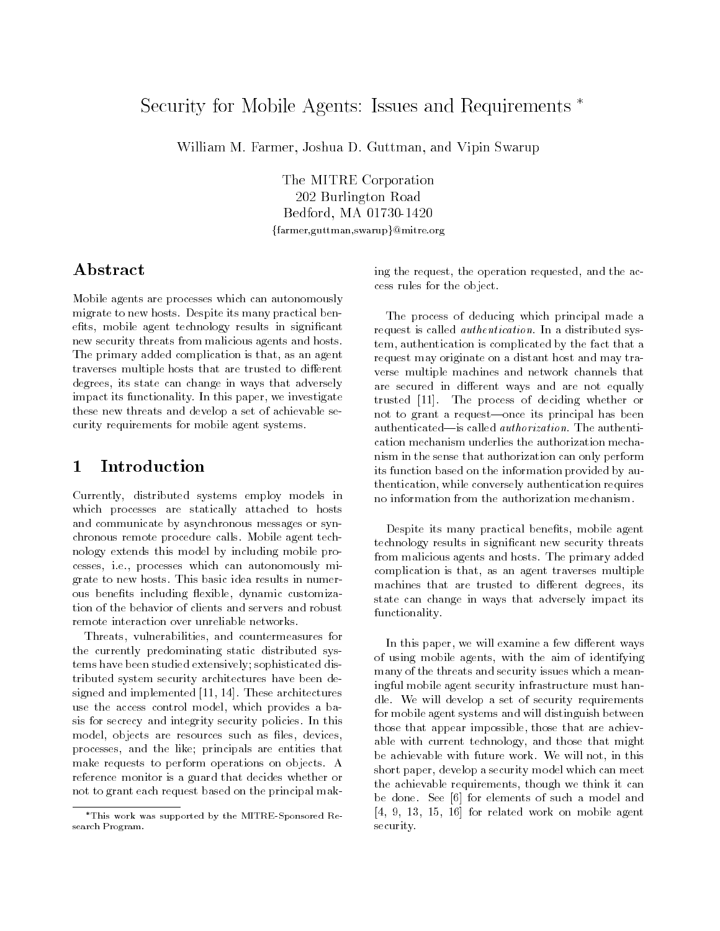# Security for Mobile Agents: Issues and Requirements \*

William M. Farmer, Joshua D. Guttman, and Vipin Swarup

The MITRE Corporation 202 Burlington Road Bedford, MA 01730-1420 {farmer,guttman,swarup}@mitre.org

## Abstract

Mobile agents are processes which can autonomously migrate to new hosts. Despite its many practical benefits, mobile agent technology results in significant new security threats from malicious agents and hosts. The primary added complication is that, as an agent traverses multiple hosts that are trusted to different degrees, its state can change in ways that adversely impact its functionality. In this paper, we investigate these new threats and develop a set of achievable security requirements for mobile agent systems.

#### $\mathbf 1$ **Introduction**

Currently, distributed systems employ models in which processes are statically attached to hosts and communicate by asynchronous messages or synchronous remote procedure calls. Mobile agent technology extends this model by including mobile processes, i.e., processes which can autonomously migrate to new hosts. This basic idea results in numerous benefits including flexible, dynamic customization of the behavior of clients and servers and robust remote interaction over unreliable networks.

Threats, vulnerabilities, and countermeasures for the currently predominating static distributed systems have been studied extensively; sophisticated distributed system security architectures have been designed and implemented [11, 14]. These architectures use the access control model, which provides a basis for secrecy and integrity security policies. In this model, objects are resources such as files, devices, processes, and the like; principals are entities that make requests to perform operations on objects. A reference monitor is a guard that decides whether or not to grant each request based on the principal making the request, the operation requested, and the access rules for the object.

The process of deducing which principal made a request is called authentication. In a distributed system, authentication is complicated by the fact that a request may originate on a distant host and may traverse multiple machines and network channels that are secured in different ways and are not equally trusted [11]. The process of deciding whether or not to grant a request-once its principal has been authenticated—is called *authorization*. The authentication mechanism underlies the authorization mechanism in the sense that authorization can only perform its function based on the information provided by authentication, while conversely authentication requires no information from the authorization mechanism.

Despite its many practical benefits, mobile agent technology results in signicant new security threats from malicious agents and hosts. The primary added complication is that, as an agent traverses multiple machines that are trusted to different degrees, its state can change in ways that adversely impact its functionality.

In this paper, we will examine a few different ways of using mobile agents, with the aim of identifying many of the threats and security issues which a meaningful mobile agent security infrastructure must handle. We will develop a set of security requirements for mobile agent systems and will distinguish between those that appear impossible, those that are achievable with current technology, and those that might be achievable with future work. We will not, in this short paper, develop a security model which can meet the achievable requirements, though we think it can be done. See [6] for elements of such a model and [4, 9, 13, 15, 16] for related work on mobile agent security.

This work was supported by the MITRE-Sponsored Research Program.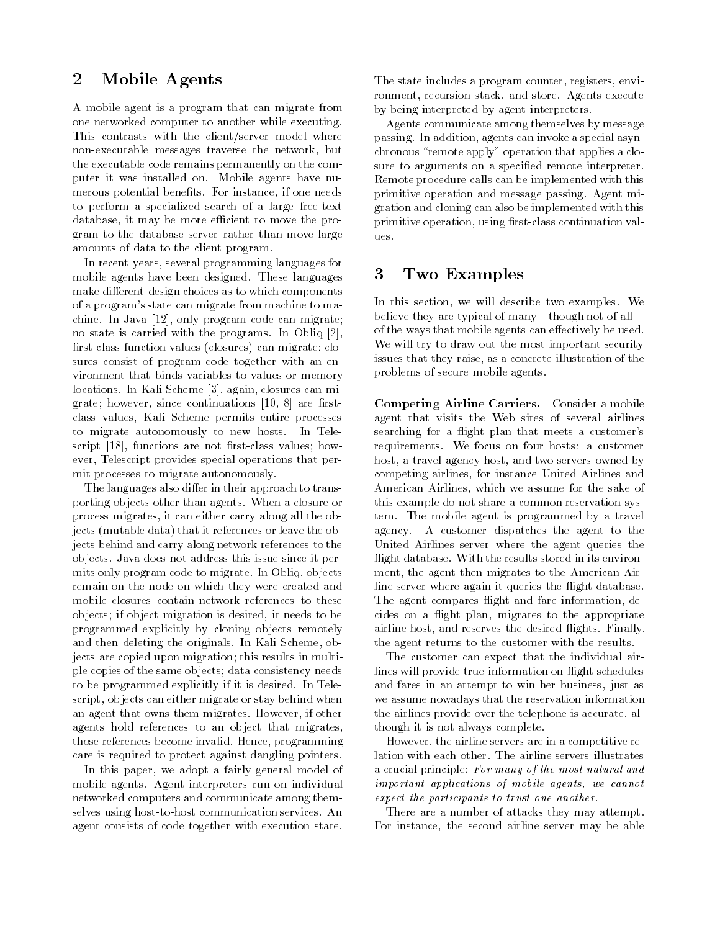#### $\overline{2}$ Mobile Agents

A mobile agent is a program that can migrate from one networked computer to another while executing. This contrasts with the client/server model where non-executable messages traverse the network, but the executable code remains permanently on the computer it was installed on. Mobile agents have nu merous potential benefits. For instance, if one needs to perform a specialized search of a large free-text database, it may be more efficient to move the program to the database server rather than move large amounts of data to the client program.

In recent years, several programming languages for mobile agents have been designed. These languages make different design choices as to which components of a program's state can migrate from machine to machine. In Java [12], only program code can migrate; no state is carried with the programs. In Obliq [2], first-class function values (closures) can migrate; closures consist of program code together with an environment that binds variables to values or memory locations. In Kali Scheme [3], again, closures can migrate; however, since continuations  $[10, 8]$  are firstclass values, Kali Scheme permits entire processes to migrate autonomously to new hosts. In Telescript  $[18]$ , functions are not first-class values; however, Telescript provides special operations that permit processes to migrate autonomously.

The languages also differ in their approach to transporting objects other than agents. When a closure or process migrates, it can either carry along all the objects (mutable data) that it references or leave the objects behind and carry along network references to the objects. Java does not address this issue since it permits only program code to migrate. In Obliq, objects remain on the node on which they were created and mobile closures contain network references to these objects; if object migration is desired, it needs to be programmed explicitly by cloning objects remotely and then deleting the originals. In Kali Scheme, objects are copied upon migration; this results in multiple copies of the same objects; data consistency needs to be programmed explicitly if it is desired. In Telescript, objects can either migrate or stay behind when an agent that owns them migrates. However, if other agents hold references to an object that migrates, those references become invalid. Hence, programming care is required to protect against dangling pointers.

In this paper, we adopt a fairly general model of mobile agents. Agent interpreters run on individual networked computers and communicate among themselves using host-to-host communication services. An agent consists of code together with execution state.

The state includes a program counter, registers, environment, recursion stack, and store. Agents execute by being interpreted by agent interpreters.

Agents communicate among themselves by message passing. In addition, agents can invoke a special asynchronous \remote apply" operation that applies a closure to arguments on a specified remote interpreter. Remote procedure calls can be implemented with this primitive operation and message passing. Agent migration and cloning can also be implemented with this primitive operation, using first-class continuation values.

#### 3 Two Examples

In this section, we will describe two examples. We believe they are typical of many-though not of allof the ways that mobile agents can effectively be used. We will try to draw out the most important security issues that they raise, as a concrete illustration of the problems of secure mobile agents.

Competing Airline Carriers. Consider a mobile agent that visits the Web sites of several airlines searching for a flight plan that meets a customer's requirements. We focus on four hosts: a customer host, a travel agency host, and two servers owned by competing airlines, for instance United Airlines and American Airlines, which we assume for the sake of this example do not share a common reservation system. The mobile agent is programmed by a travel agency. A customer dispatches the agent to the United Airlines server where the agent queries the flight database. With the results stored in its environment, the agent then migrates to the American Airline server where again it queries the flight database. The agent compares flight and fare information, decides on a flight plan, migrates to the appropriate airline host, and reserves the desired flights. Finally, the agent returns to the customer with the results.

The customer can expect that the individual airlines will provide true information on flight schedules and fares in an attempt to win her business, just as we assume nowadays that the reservation information the airlines provide over the telephone is accurate, although it is not always complete.

However, the airline servers are in a competitive relation with each other. The airline servers illustrates a crucial principle: For many of the most natural and important applications of mobile agents, we cannot expect the participants to trust one another.

There are a number of attacks they may attempt. For instance, the second airline server may be able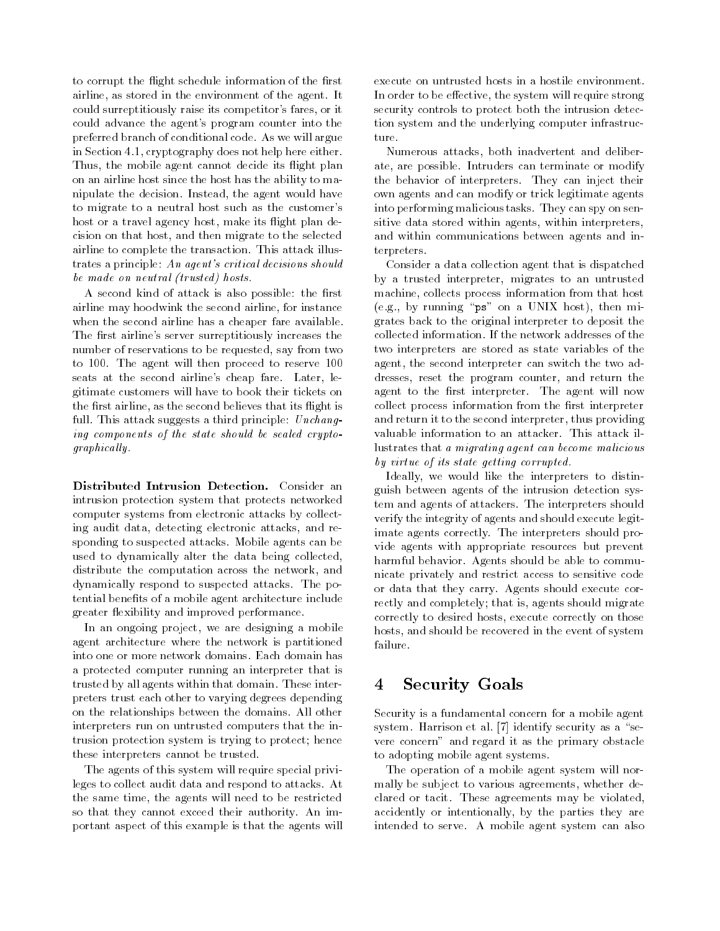to corrupt the flight schedule information of the first airline, as stored in the environment of the agent. It could surreptitiously raise its competitor's fares, or it could advance the agent's program counter into the preferred branch of conditional code. As we will argue in Section 4.1, cryptography does not help here either. Thus, the mobile agent cannot decide its flight plan on an airline host since the host has the ability to manipulate the decision. Instead, the agent would have to migrate to a neutral host such as the customer's host or a travel agency host, make its flight plan decision on that host, and then migrate to the selected airline to complete the transaction. This attack illustrates a principle: An agent's critical decisions should be made on neutral (trusted) hosts.

A second kind of attack is also possible: the first airline may hoodwink the second airline, for instance when the second airline has a cheaper fare available. The first airline's server surreptitiously increases the number of reservations to be requested, say from two to 100. The agent will then proceed to reserve 100 seats at the second airline's cheap fare. Later, legitimate customers will have to book their tickets on the first airline, as the second believes that its flight is full. This attack suggests a third principle: Unchanging components of the state should be sealed cryptographical ly.

Distributed Intrusion Detection. Consider an intrusion protection system that protects networked computer systems from electronic attacks by collecting audit data, detecting electronic attacks, and responding to suspected attacks. Mobile agents can be used to dynamically alter the data being collected, distribute the computation across the network, and dynamically respond to suspected attacks. The potential benefits of a mobile agent architecture include greater flexibility and improved performance.

In an ongoing project, we are designing a mobile agent architecture where the network is partitioned into one or more network domains. Each domain has a protected computer running an interpreter that is trusted by all agents within that domain. These interpreters trust each other to varying degrees depending on the relationships between the domains. All other interpreters run on untrusted computers that the intrusion protection system is trying to protect; hence these interpreters cannot be trusted.

The agents of this system will require special privileges to collect audit data and respond to attacks. At the same time, the agents will need to be restricted so that they cannot exceed their authority. An important aspect of this example is that the agents will execute on untrusted hosts in a hostile environment. In order to be effective, the system will require strong security controls to protect both the intrusion detection system and the underlying computer infrastructure.

Numerous attacks, both inadvertent and deliberate, are possible. Intruders can terminate or modify the behavior of interpreters. They can inject their own agents and can modify or trick legitimate agents into performing malicious tasks. They can spy on sensitive data stored within agents, within interpreters, and within communications between agents and interpreters.

Consider a data collection agent that is dispatched by a trusted interpreter, migrates to an untrusted machine, collects process information from that host (e.g., by running " $ps$ " on a UNIX host), then migrates back to the original interpreter to deposit the collected information. If the network addresses of the two interpreters are stored as state variables of the agent, the second interpreter can switch the two addresses, reset the program counter, and return the agent to the first interpreter. The agent will now collect process information from the first interpreter and return it to the second interpreter, thus providing valuable information to an attacker. This attack illustrates that a migrating agent can become malicious by virtue of its state getting corrupted.

Ideally, we would like the interpreters to distinguish between agents of the intrusion detection system and agents of attackers. The interpreters should verify the integrity of agents and should execute legitimate agents correctly. The interpreters should provide agents with appropriate resources but prevent harmful behavior. Agents should be able to communicate privately and restrict access to sensitive code or data that they carry. Agents should execute correctly and completely; that is, agents should migrate correctly to desired hosts, execute correctly on those hosts, and should be recovered in the event of system failure.

## 4 Security Goals

Security is a fundamental concern for a mobile agent system. Harrison et al.  $[7]$  identify security as a "severe concern" and regard it as the primary obstacle to adopting mobile agent systems.

The operation of a mobile agent system will normally be subject to various agreements, whether declared or tacit. These agreements may be violated, accidently or intentionally, by the parties they are intended to serve. A mobile agent system can also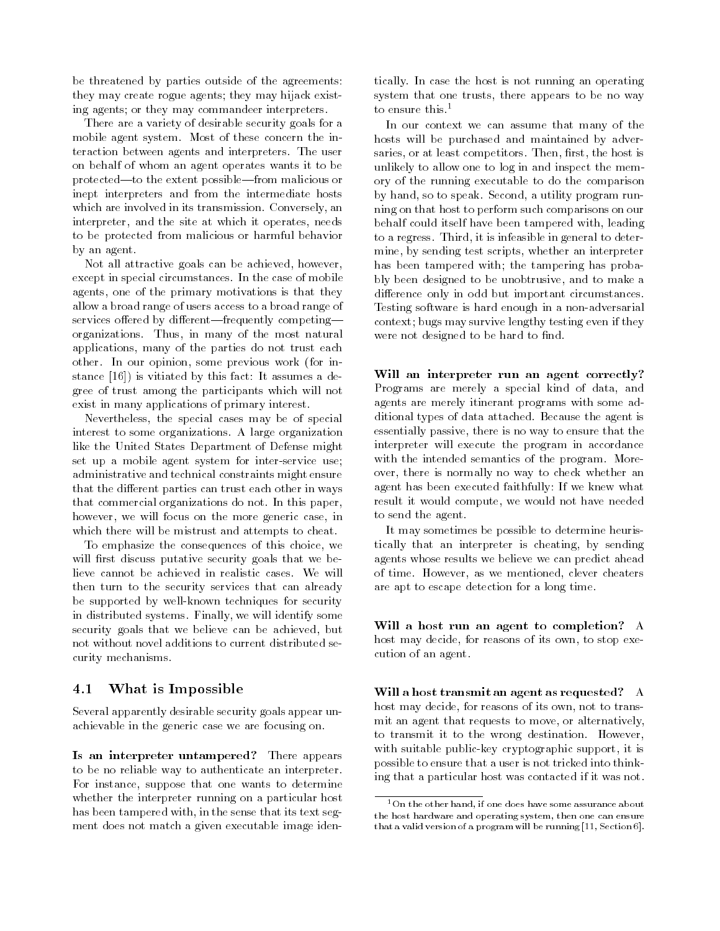be threatened by parties outside of the agreements: they may create rogue agents; they may hijack existing agents; or they may commandeer interpreters.

There are a variety of desirable security goals for a mobile agent system. Most of these concern the interaction between agents and interpreters. The user on behalf of whom an agent operates wants it to be protected—to the extent possible—from malicious or inept interpreters and from the intermediate hosts which are involved in its transmission. Conversely, an interpreter, and the site at which it operates, needs to be protected from malicious or harmful behavior by an agent.

Not all attractive goals can be achieved, however, except in special circumstances. In the case of mobile agents, one of the primary motivations is that they allow a broad range of users access to a broad range of services offered by different—frequently competing organizations. Thus, in many of the most natural applications, many of the parties do not trust each other. In our opinion, some previous work (for instance [16]) is vitiated by this fact: It assumes a degree of trust among the participants which will not exist in many applications of primary interest.

Nevertheless, the special cases may be of special interest to some organizations. A large organization like the United States Department of Defense might set up a mobile agent system for inter-service use; administrative and technical constraints might ensure that the different parties can trust each other in ways that commercial organizations do not. In this paper, however, we will focus on the more generic case, in which there will be mistrust and attempts to cheat.

To emphasize the consequences of this choice, we will first discuss putative security goals that we believe cannot be achieved in realistic cases. We will then turn to the security services that can already be supported by well-known techniques for security in distributed systems. Finally, we will identify some security goals that we believe can be achieved, but not without novel additions to current distributed security mechanisms.

### 4.1 What is Impossible

Several apparently desirable security goals appear unachievable in the generic case we are focusing on.

Is an interpreter untampered? There appears to be no reliable way to authenticate an interpreter. For instance, suppose that one wants to determine whether the interpreter running on a particular host has been tampered with, in the sense that its text seg ment does not match a given executable image identically. In case the host is not running an operating system that one trusts, there appears to be no way to ensure this.<sup>1</sup>

In our context we can assume that many of the hosts will be purchased and maintained by adversaries, or at least competitors. Then, first, the host is unlikely to allow one to log in and inspect the memory of the running executable to do the comparison by hand, so to speak. Second, a utility program running on that host to perform such comparisons on our behalf could itself have been tampered with, leading to a regress. Third, it is infeasible in general to determine, by sending test scripts, whether an interpreter has been tampered with; the tampering has probably been designed to be unobtrusive, and to make a difference only in odd but important circumstances. Testing software is hard enough in a non-adversarial context; bugs may survive lengthy testing even if they were not designed to be hard to find.

Will an interpreter run an agent correctly? Programs are merely a special kind of data, and agents are merely itinerant programs with some additional types of data attached. Because the agent is essentially passive, there is no way to ensure that the interpreter will execute the program in accordance with the intended semantics of the program. Moreover, there is normally no way to check whether an agent has been executed faithfully: If we knew what result it would compute, we would not have needed to send the agent.

It may sometimes be possible to determine heuristically that an interpreter is cheating, by sending agents whose results we believe we can predict ahead of time. However, as we mentioned, clever cheaters are apt to escape detection for a long time.

Will a host run an agent to completion? A host may decide, for reasons of its own, to stop execution of an agent.

Will a host transmit an agent as requested? A host may decide, for reasons of its own, not to transmit an agent that requests to move, or alternatively, to transmit it to the wrong destination. However, with suitable public-key cryptographic support, it is possible to ensure that a user is not tricked into thinking that a particular host was contacted if it was not.

 $^{\rm 1}$ On the other hand, if one does have some assurance about the host hardware and operating system, then one can ensurethat a valid version of a program will be running [11, Section 6].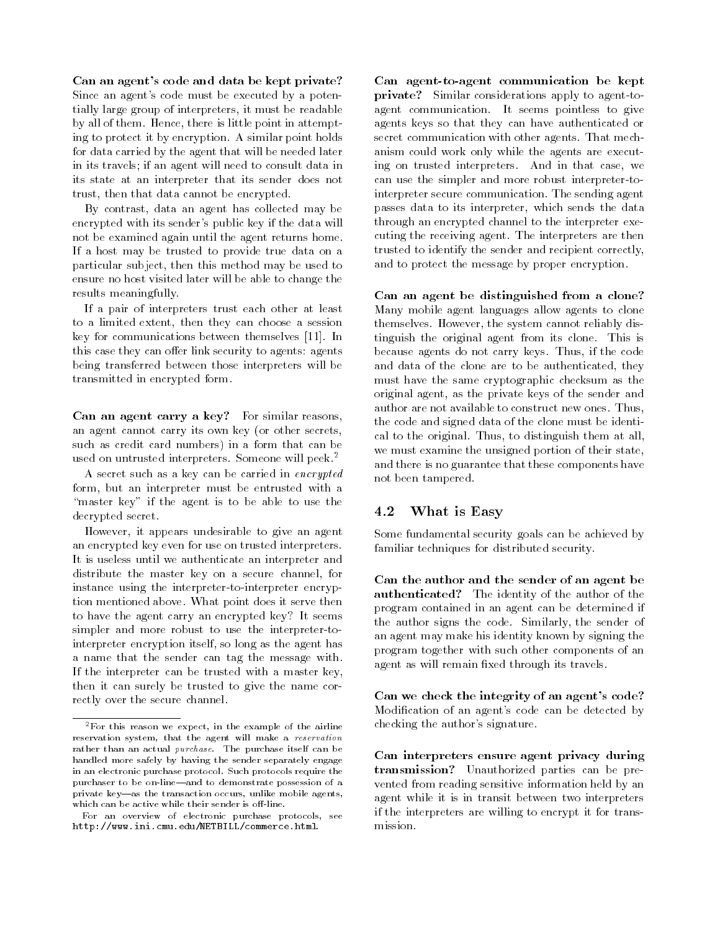Can an agent's code and data be kept private? Since an agent's code must be executed by a potentially large group of interpreters, it must be readable by all of them. Hence, there is little point in attempting to protect it by encryption. A similar point holds for data carried by the agent that will be needed later in its travels; if an agent will need to consult data in its state at an interpreter that its sender does not trust, then that data cannot be encrypted.

By contrast, data an agent has collected may be encrypted with its sender's public key if the data will not be examined again until the agent returns home. If a host may be trusted to provide true data on a particular subject, then this method may be used to ensure no host visited later will be able to change the results meaningfully.

If a pair of interpreters trust each other at least to a limited extent, then they can choose a session key for communications between themselves [11]. In this case they can offer link security to agents: agents being transferred between those interpreters will be transmitted in encrypted form.

Can an agent carry a key? For similar reasons, an agent cannot carry its own key (or other secrets, such as credit card numbers) in a form that can be used on untrusted interpreters. Someone will peek.2

A secret such as a key can be carried in encrypted form, but an interpreter must be entrusted with a "master key" if the agent is to be able to use the decrypted secret.

However, it appears undesirable to give an agent an encrypted key even for use on trusted interpreters. It is useless until we authenticate an interpreter and distribute the master key on a secure channel, for instance using the interpreter-to-interpreter encryption mentioned above. What point does it serve then to have the agent carry an encrypted key? It seems simpler and more robust to use the interpreter-tointerpreter encryption itself, so long as the agent has a name that the sender can tag the message with. If the interpreter can be trusted with a master key, then it can surely be trusted to give the name correctly over the secure channel.

Can agent-to-agent communication be kept private? Similar considerations apply to agent-toagent communication. It seems pointless to give agents keys so that they can have authenticated or secret communication with other agents. That mechanism could work only while the agents are executing on trusted interpreters. And in that case, we can use the simpler and more robust interpreter-tointerpreter secure communication. The sending agent passes data to its interpreter, which sends the data through an encrypted channel to the interpreter executing the receiving agent. The interpreters are then trusted to identify the sender and recipient correctly, and to protect the message by proper encryption.

Can an agent be distinguished from a clone? Many mobile agent languages allow agents to clone themselves. However, the system cannot reliably distinguish the original agent from its clone. This is because agents do not carry keys. Thus, if the code and data of the clone are to be authenticated, they must have the same cryptographic checksum as the original agent, as the private keys of the sender and author are not available to construct new ones. Thus, the code and signed data of the clone must be identical to the original. Thus, to distinguish them at all, we must examine the unsigned portion of their state, and there is no guarantee that these components have not been tampered.

### 4.2 What is Easy

Some fundamental security goals can be achieved by familiar techniques for distributed security.

Can the author and the sender of an agent be authenticated? The identity of the author of the program contained in an agent can be determined if the author signs the code. Similarly, the sender of an agent may make his identity known by signing the program together with such other components of an agent as will remain fixed through its travels.

Can we check the integrity of an agent's code? Modication of an agent's code can be detected by checking the author's signature.

Can interpreters ensure agent privacy during transmission? Unauthorized parties can be prevented from reading sensitive information held by an agent while it is in transit between two interpreters if the interpreters are willing to encrypt it for transmission.

 ${}^{2}$ For this reason we expect, in the example of the airline reservation system, that the agent will make a reservation rather than an actual purchase. The purchase itself can be handled more safely by having the sender separately engagein an electronic purchase protocol. Such protocols require thepurchaser to be on-line—and to demonstrate possession of a private key-as the transaction occurs, unlike mobile agents, which can be active while their sender is off-line.

For an overview of electronic purchase protocols, seehttp://www.ini.cmu.edu/NETBILL/commerce.html.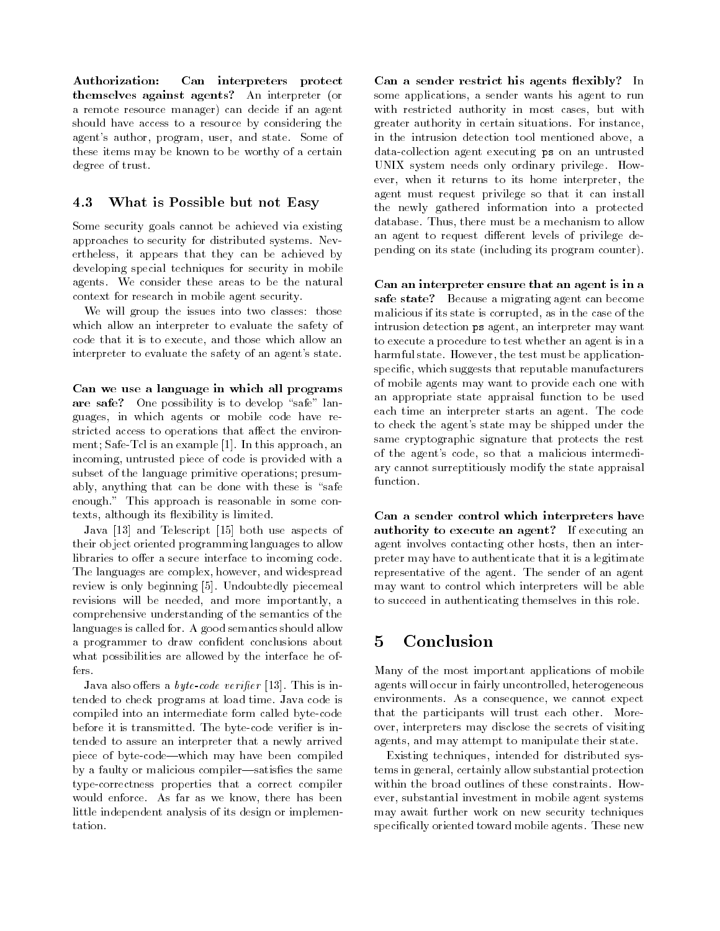Authorization: Can interpreters protect themselves against agents? An interpreter (or a remote resource manager) can decide if an agent should have access to a resource by considering the agent's author, program, user, and state. Some of these items may be known to be worthy of a certain degree of trust.

### 4.3 What is Possible but not Easy

Some security goals cannot be achieved via existing approaches to security for distributed systems. Nevertheless, it appears that they can be achieved by developing special techniques for security in mobile agents. We consider these areas to be the natural context for research in mobile agent security.

We will group the issues into two classes: those which allow an interpreter to evaluate the safety of code that it is to execute, and those which allow an interpreter to evaluate the safety of an agent's state.

Can we use a language in which all programs are safe? One possibility is to develop "safe" languages, in which agents or mobile code have restricted access to operations that affect the environment; Safe-Tcl is an example [1]. In this approach, an incoming, untrusted piece of code is provided with a subset of the language primitive operations; presumably, anything that can be done with these is "safe enough." This approach is reasonable in some contexts, although its flexibility is limited.

Java [13] and Telescript [15] both use aspects of their object oriented programming languages to allow libraries to offer a secure interface to incoming code. The languages are complex, however, and widespread review is only beginning [5]. Undoubtedly piecemeal revisions will be needed, and more importantly, a comprehensive understanding of the semantics of the languages is called for. A good semantics should allow a programmer to draw condent conclusions about what possibilities are allowed by the interface he of-

Java also offers a *byte-code verifier* [13]. This is intended to check programs at load time. Java code is compiled into an intermediate form called byte-code before it is transmitted. The byte-code verifier is intended to assure an interpreter that a newly arrived piece of byte-code—which may have been compiled by a faulty or malicious compiler—satisfies the same type-correctness properties that a correct compiler would enforce. As far as we know, there has been little independent analysis of its design or implementation.

Can a sender restrict his agents flexibly? In some applications, a sender wants his agent to run with restricted authority in most cases, but with greater authority in certain situations. For instance, in the intrusion detection tool mentioned above, a data-collection agent executing ps on an untrusted UNIX system needs only ordinary privilege. However, when it returns to its home interpreter, the agent must request privilege so that it can install the newly gathered information into a protected database. Thus, there must be a mechanism to allow an agent to request different levels of privilege depending on its state (including its program counter).

Can an interpreter ensure that an agent is in a safe state? Because a migrating agent can become malicious if its state is corrupted, as in the case of the intrusion detection ps agent, an interpreter may want to execute a procedure to test whether an agent is in a harmful state. However, the test must be applicationspecic, which suggests that reputable manufacturers of mobile agents may want to provide each one with an appropriate state appraisal function to be used each time an interpreter starts an agent. The code to check the agent's state may be shipped under the same cryptographic signature that protects the rest of the agent's code, so that a malicious intermediary cannot surreptitiously modify the state appraisal function.

Can a sender control which interpreters have authority to execute an agent? If executing an agent involves contacting other hosts, then an interpreter may have to authenticate that it is a legitimate representative of the agent. The sender of an agent may want to control which interpreters will be able to succeed in authenticating themselves in this role.

### Conclusion 5

Many of the most important applications of mobile agents will occur in fairly uncontrolled, heterogeneous environments. As a consequence, we cannot expect that the participants will trust each other. Moreover, interpreters may disclose the secrets of visiting agents, and may attempt to manipulate their state.

Existing techniques, intended for distributed systems in general, certainly allow substantial protection within the broad outlines of these constraints. However, substantial investment in mobile agent systems may await further work on new security techniques specically oriented toward mobile agents. These new